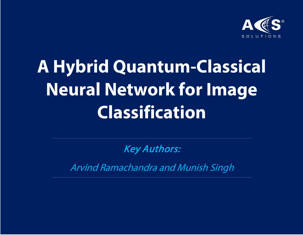

# **A Hybrid Quantum-Classical Neural Network for Image Classification**

Key Authors:

Arvind Ramachandra and Munish Singh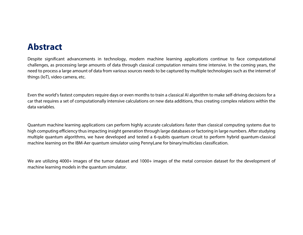### **Abstract**

Despite significant advancements in technology, modern machine learning applications continue to face computational challenges, as processing large amounts of data through classical computation remains time intensive. In the coming years, the need to process a large amount of data from various sources needs to be captured by multiple technologies such as the internet of things (IoT), video camera, etc.

Even the world's fastest computers require days or even months to train a classical AI algorithm to make self-driving decisions for a car that requires a set of computationally intensive calculations on new data additions, thus creating complex relations within the data variables.

Quantum machine learning applications can perform highly accurate calculations faster than classical computing systems due to high computing efficiency thusimpacting insight generation through large databases or factoring in large numbers. After studying multiple quantum algorithms, we have developed and tested a 6-qubits quantum circuit to perform hybrid quantum-classical machine learning on the IBM-Aer quantum simulator using PennyLane for binary/multiclass classification.

We are utilizing 4000+ images of the tumor dataset and 1000+ images of the metal corrosion dataset for the development of machine learning models in the quantum simulator.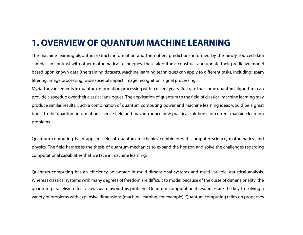### **1. OVERVIEW OF QUANTUM MACHINE LEARNING**

The machine learning algorithm extracts information and then offers predictions informed by the newly sourced data samples. In contrast with other mathematical techniques, these algorithms construct and update their predictive model based upon known data (the training dataset). Machine learning techniques can apply to different tasks, including: spam filtering, image processing, wide societal impact, image recognition, signal processing.

Myriad advancementsin quantum information processing within recent yearsillustrate that some quantum algorithms can provide a speedup over their classical analogues. The application of quantum to the field of classical machine learning may produce similar results. Such a combination of quantum computing power and machine learning ideas would be a great boost to the quantum information science field and may introduce new practical solutions for current machine learning problems.

Quantum computing is an applied field of quantum mechanics combined with computer science, mathematics, and physics. The field harnesses the thesis of quantum mechanics to expand the horizon and solve the challenges regarding computational capabilities that we face in machine learning.

Quantum computing has an efficiency advantage in multi-dimensional systems and multi-variable statistical analysis. Whereas classical systems with many degrees of freedom are difficult to model because of the curse of dimensionality, the quantum parallelism effect allows us to avoid this problem. Quantum computational resources are the key to solving a variety of problems with expansive dimensions (machine learning, for example). Quantum computing relies on properties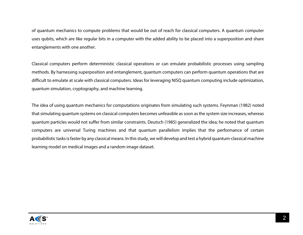of quantum mechanics to compute problems that would be out of reach for classical computers. A quantum computer uses qubits, which are like regular bits in a computer with the added ability to be placed into a superposition and share entanglements with one another.

Classical computers perform deterministic classical operations or can emulate probabilistic processes using sampling methods. By harnessing superposition and entanglement, quantum computers can perform quantum operations that are difficult to emulate at scale with classical computers. Ideas for leveraging NISQ quantum computing include optimization, quantum simulation, cryptography, and machine learning.

The idea of using quantum mechanics for computations originates from simulating such systems. Feynman (1982) noted that simulating quantum systems on classical computers becomes unfeasible as soon as the system size increases, whereas quantum particles would not suffer from similar constraints. Deutsch (1985) generalized the idea; he noted that quantum computers are universal Turing machines and that quantum parallelism implies that the performance of certain probabilistic tasks is faster by any classical means. In this study, we will develop and test a hybrid quantum-classical machine learning model on medical images and a random image dataset.

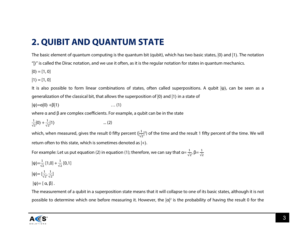# **2. QUIBIT AND QUANTUM STATE**

The basic element of quantum computing is the quantum bit (qubit), which has two basic states, |0⟩ and |1⟩. The notation

"|⟩" is called the Dirac notation, and we use it often, as it is the regular notation for states in quantum mechanics.

 $|0\rangle = [1, 0]$ 

$$
\left|1\right\rangle=[1,0]
$$

It is also possible to form linear combinations of states, often called superpositions. A qubit |ψ⟩, can be seen as a generalization of the classical bit, that allows the superposition of |0⟩ and |1⟩ in a state of

$$
|\psi\rangle{=}\alpha|0\rangle{+}\beta|1\rangle\qquad \qquad \dots (1)
$$

where  $α$  and  $β$  are complex coefficients. For example, a qubit can be in the state

$$
\frac{1}{\sqrt{2}}|0\rangle + \frac{1}{\sqrt{2}}|1\rangle \qquad \qquad \dots (2)
$$

which, when measured, gives the result 0 fifty percent ( $|\frac{1}{\sqrt{2}}|^2$ ) of the time and the result 1 fifty percent of the time. We will return often to this state, which is sometimes denoted as |+⟩.

For example: Let us put equation (2) in equation (1); therefore, we can say that α=  $\frac{1}{\sqrt{2}}$ , β=  $\frac{1}{\sqrt{2}}$ 

$$
|\psi\rangle = \frac{1}{\sqrt{2}} [1,0] + \frac{1}{\sqrt{2}} [0,1]
$$
  

$$
|\psi\rangle = [\frac{1}{\sqrt{2}}, \frac{1}{\sqrt{2}}]
$$

$$
|\psi\rangle = [\alpha, \beta].
$$

The measurement of a qubit in a superposition state means that it will collapse to one of its basic states, although it is not possible to determine which one before measuring it. However, the  $|a|^2$  is the probability of having the result 0 for the

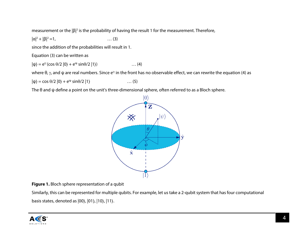measurement or the  $\vert \beta \vert^2$  is the probability of having the result 1 for the measurement. Therefore,

 $|\alpha|^2 + |\beta|^2 = 1,$  … (3)

since the addition of the probabilities will result in 1.

Equation (3) can be written as

 $|\psi\rangle = e^{i\gamma} (\cos \theta/2 |0\rangle + e^{i\psi} \sin \theta/2 |1\rangle)$  ... (4)

where  $θ$ , γ, and  $ψ$  are real numbers. Since e<sup>iγ</sup> in the front has no observable effect, we can rewrite the equation (4) as

 $|\psi\rangle = \cos \theta/2 |0\rangle + e^{i\psi} \sin \theta/2 |1\rangle$  ... (5)

The  $\theta$  and  $\psi$  define a point on the unit's three-dimensional sphere, often referred to as a Bloch sphere.



**Figure 1.** Bloch sphere representation of a qubit

Similarly, this can be represented for multiple qubits. For example, let us take a 2-qubit system that has four computational basis states, denoted as |00⟩, |01⟩, |10⟩, |11⟩.

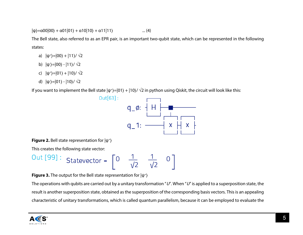$|\psi\rangle$ =α00|00 $\rangle$  + α01|01 $\rangle$  + α10|10 $\rangle$  + α11|11 $\rangle$  ... (4)

The Bell state, also referred to as an EPR pair, is an important two-qubit state, which can be represented in the following states:

- a)  $|\psi^*\rangle = |00\rangle + |11\rangle / \sqrt{2}$
- b) |ψ- ⟩=|00⟩ |11⟩/ √2
- c)  $|\psi^*\rangle = |01\rangle + |10\rangle / \sqrt{2}$
- d)  $\vert \psi \overline{\ } \rangle = \vert 01 \rangle$  −  $\vert 10 \rangle / \sqrt{2}$

If you want to implement the Bell state  $|\psi^*\rangle = |01\rangle + |10\rangle / \sqrt{2}$  in python using Qiskit, the circuit will look like this:



**Figure 2.** Bell state representation for  $|\psi^+\rangle$ 

This creates the following state vector:

Out [99]: 
$$
\text{Statevector} = \begin{bmatrix} 0 & \frac{1}{\sqrt{2}} & \frac{1}{\sqrt{2}} & 0 \end{bmatrix}
$$

**Figure 3.** The output for the Bell state representation for  $|\psi^*\rangle$ 

The operations with qubits are carried out by a unitary transformation "U". When "U" is applied to a superposition state, the result is another superposition state, obtained as the superposition of the corresponding basis vectors. This is an appealing characteristic of unitary transformations, which is called quantum parallelism, because it can be employed to evaluate the

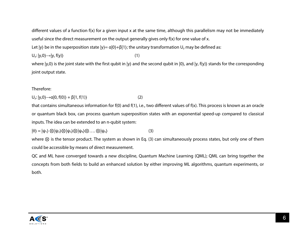different values of a function f(x) for a given input x at the same time, although this parallelism may not be immediately useful since the direct measurement on the output generally gives only f(x) for one value of x.

Let  $|y\rangle$  be in the superposition state  $|y\rangle = \alpha|0\rangle + \beta|1\rangle$ ; the unitary transformation  $U_y$  may be defined as:

 $U_y: |y,0\rangle \rightarrow |y, f(y)\rangle$  (1)

where  $|y,0\rangle$  is the joint state with the first qubit in  $|y\rangle$  and the second qubit in  $|0\rangle$ , and  $|y, f(y)\rangle$  stands for the corresponding joint output state.

#### Therefore:

 $U_y$ :  $|y,0\rangle \rightarrow \alpha |0, f(0)\rangle + \beta |1, f(1)\rangle$  (2)

that contains simultaneous information for f(0) and f(1), i.e., two different values of f(x). This process is known as an oracle or quantum black box, can process quantum superposition states with an exponential speed-up compared to classical inputs. The idea can be extended to an n-qubit system:

 $|\theta\rangle = |\psi_1\rangle \otimes |\psi_2\rangle \otimes |\psi_3\rangle \otimes |\psi_4\rangle \otimes \ldots \otimes |\psi_n\rangle$  (3)

where ⊗ is the tensor product. The system as shown in Eq. (3) can simultaneously process states, but only one of them could be accessible by means of direct measurement.

QC and ML have converged towards a new discipline, Quantum Machine Learning (QML); QML can bring together the concepts from both fields to build an enhanced solution by either improving ML algorithms, quantum experiments, or both.

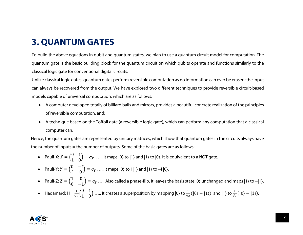### **3. QUANTUM GATES**

To build the above equations in qubit and quantum states, we plan to use a quantum circuit model for computation. The quantum gate is the basic building block for the quantum circuit on which qubits operate and functions similarly to the classical logic gate for conventional digital circuits.

Unlike classical logic gates, quantum gates perform reversible computation as no information can ever be erased; the input can always be recovered from the output. We have explored two different techniques to provide reversible circuit-based models capable of universal computation, which are as follows:

- A computer developed totally of billiard balls and mirrors, provides a beautiful concrete realization of the principles of reversible computation, and;
- A technique based on the Toffoli gate (a reversible logic gate), which can perform any computation that a classical computer can.

Hence, the quantum gates are represented by unitary matrices, which show that quantum gates in the circuits always have the number of inputs = the number of outputs. Some of the basic gates are as follows:

- Pauli-X:  $X = \begin{pmatrix} 0 & 1 \ 1 & 0 \end{pmatrix} \equiv \sigma_X \dots$  It maps  $|0\rangle$  to  $|1\rangle$  and  $|1\rangle$  to  $|0\rangle$ . It is equivalent to a NOT gate.
- Pauli-Y:  $Y = \begin{pmatrix} 0 & -i \\ i & 0 \end{pmatrix} \equiv \sigma_Y \dots$  It maps  $|0\rangle$  to i  $|1\rangle$  and  $|1\rangle$  to  $-i |0\rangle$ .
- Pauli-Z:  $Z = \begin{pmatrix} 1 & 0 \\ 0 & -1 \end{pmatrix}$  $\begin{bmatrix} 1 & 0 \\ 0 & -1 \end{bmatrix} \equiv \sigma_Z \dots$  Also called a phase-flip, it leaves the basis state  $|0\rangle$  unchanged and maps  $|1\rangle$  to  $-|1\rangle$ .
- Hadamard: H=  $\frac{1}{\sqrt{2}}\begin{pmatrix} 0 & 1 \\ 1 & 0 \end{pmatrix}$  ..... It creates a superposition by mapping  $|0\rangle$  to  $\frac{1}{\sqrt{2}}(|0\rangle + |1\rangle)$  and  $|1\rangle$  to  $\frac{1}{\sqrt{2}}(|0\rangle |1\rangle)$ .

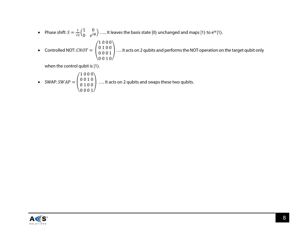• Phase shift:  $S = \frac{1}{\sqrt{2}} \begin{pmatrix} 1 & 0 \ 0 & e^{i\psi} \end{pmatrix}$  ..... It leaves the basis state  $|0\rangle$  unchanged and maps  $|1\rangle$  to e<sup>i $\psi$ </sup>  $|1\rangle$ .

• Controlled NOT: 
$$
CNOT = \begin{pmatrix} 1 & 0 & 0 & 0 \\ 0 & 1 & 0 & 0 \\ 0 & 0 & 0 & 1 \\ 0 & 0 & 1 & 0 \end{pmatrix}
$$
.... It acts on 2 qubits and performs the NOT operation on the target qubit only

when the control qubit is |1⟩.

• SWAP: 
$$
SWAP = \begin{pmatrix} 1 & 0 & 0 & 0 \\ 0 & 0 & 1 & 0 \\ 0 & 1 & 0 & 0 \\ 0 & 0 & 0 & 1 \end{pmatrix}
$$
 .... It acts on 2 qubits and swaps these two qubits.

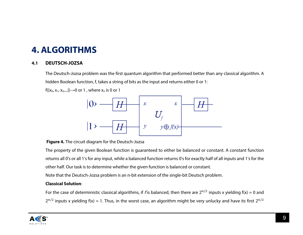### **4. ALGORITHMS**

#### **4.1 DEUTSCH-JOZSA**

The Deutsch-Jozsa problem was the first quantum algorithm that performed better than any classical algorithm. A hidden Boolean function, f, takes a string of bits as the input and returns either 0 or 1:

 $f({x_0, x_1, x_2,...})\rightarrow 0$  or 1, where  $x_n$  is 0 or 1



**Figure 4.** The circuit diagram for the Deutsch-Jozsa

The property of the given Boolean function is guaranteed to either be balanced or constant. A constant function returns all 0's or all 1's for any input, while a balanced function returns 0's for exactly half of all inputs and 1's for the other half. Our task is to determine whether the given function is balanced or constant.

Note that the Deutsch-Jozsa problem is an n-bit extension of the single-bit Deutsch problem.

#### **Classical Solution**:

For the case of deterministic classical algorithms, if f is balanced, then there are  $2^{n/2}$  inputs x yielding  $f(x) = 0$  and  $2^{n/2}$  inputs x yielding f(x) = 1. Thus, in the worst case, an algorithm might be very unlucky and have its first  $2^{n/2}$ 

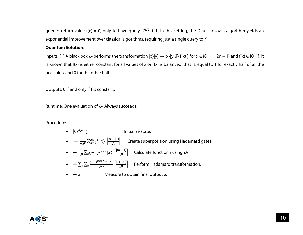queries return value f(x) = 0, only to have query  $2^{n/2} + 1$ . In this setting, the Deutsch-Jozsa algorithm yields an exponential improvement over classical algorithms, requiring just a single query to f.

#### **Quantum Solution**:

Inputs: (1) A black box  $U_f$  performs the transformation  $|x\rangle|y\rangle \rightarrow |x\rangle|y \oplus f(x)\rangle$  for  $x \in \{0, \ldots, 2n-1\}$  and  $f(x) \in \{0, 1\}$ . It is known that f(x) is either constant for all values of x or f(x) is balanced, that is, equal to 1 for exactly half of all the possible x and 0 for the other half.

Outputs: 0 if and only if f is constant.

Runtime: One evaluation of  $U_f$ . Always succeeds.

#### Procedure:

•  $|0\rangle^{\otimes n}|1\rangle$  Initialize state. •  $\rightarrow \frac{1}{\sqrt{2}n} \sum_{x=0}^{2n-1} |x\rangle \left\lfloor \frac{|0\rangle - |1\rangle}{\sqrt{2}} \right\rfloor$  Create superposition using Hadamard gates. •  $\rightarrow \frac{1}{\sqrt{2}}\sum_{x}(-1)^{f(x)}|x\rangle\left[\frac{|0\rangle-|1\rangle}{\sqrt{2}}\right]$  Calculate function fusing  $U_{\beta}$ .  $\bullet \quad \to \sum_{Z} \sum_{x} \frac{(-1)^{XZ + f(X)} |Z|}{\sqrt{2}n} \left[ \frac{|0\rangle - |1\rangle}{\sqrt{2}} \right] \quad$  Perform Hadamard transformation. •  $\rightarrow$  z Measure to obtain final output z.

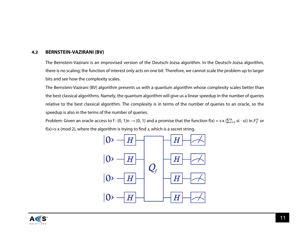#### **4.2 BERNSTEIN-VAZIRANI (BV)**

The Bernstein-Vazirani is an improvised version of the Deutsch-Jozsa algorithm. In the Deutsch-Jozsa algorithm, there is no scaling; the function of interest only acts on one bit. Therefore, we cannot scale the problem up to larger bits and see how the complexity scales.

The Bernstein-Vazirani (BV) algorithm presents us with a quantum algorithm whose complexity scales better than the best classical algorithms. Namely, the quantum algorithm will give us a linear speedup in the number of queries relative to the best classical algorithm. The complexity is in terms of the number of queries to an oracle, so the speedup is also in the terms of the number of queries.

Problem: Given an oracle access to f : {0, 1}n  $\to$  {0, 1} and a promise that the function f(x) = s·x ( $\sum_{i=1}^n$  si  $\cdot$  xi) in  $F_2^n$  or f(x)=s⋅x (mod 2), where the algorithm is trying to find  $s$ , which is a secret string.



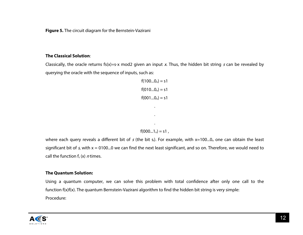**Figure 5.** The circuit diagram for the Bernstein-Vazirani

#### **The Classical Solution**:

Classically, the oracle returns fs(x)=s⋅x mod2 given an input x. Thus, the hidden bit string s can be revealed by querying the oracle with the sequence of inputs, such as:

```
f(100...0<sub>n</sub>) = s1f(010...0<sub>n</sub>) = s1f(001...0<sub>n</sub>) = s1.
              .
              .
f(000...1<sub>n</sub>) = s1,
```
where each query reveals a different bit of s (the bit s<sub>i</sub>). For example, with x=100...0<sub>n</sub> one can obtain the least significant bit of s, with  $x = 0100...0$  we can find the next least significant, and so on. Therefore, we would need to call the function  $f_s(x)$  *n* times.

#### **The Quantum Solution:**

Using a quantum computer, we can solve this problem with total confidence after only one call to the function f(x)f(x). The quantum Bernstein-Vazirani algorithm to find the hidden bit string is very simple: Procedure:

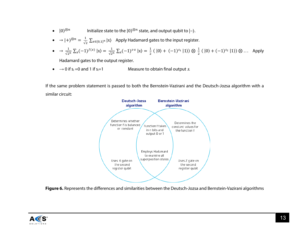- $|0\rangle^{\otimes n}$  Initialize state to the  $|0\rangle^{\otimes n}$  state, and output qubit to  $|-\rangle$ .
- $\bullet \quad \rightarrow |+\rangle^{\otimes n} = \frac{1}{\sqrt{2}}\sum_{x\in\{0,1\}^n} |x\rangle$  Apply Hadamard gates to the input register.
- $\bullet \quad \rightarrow \frac{1}{\sqrt{2^n}} \sum_{x} (-1)^{f(x)} |x\rangle = \frac{1}{\sqrt{2^n}} \sum_{x} (-1)^{x} |x\rangle = \frac{1}{2} (|0\rangle + (-1)^{s_1} |1\rangle) \otimes \frac{1}{2} (|0\rangle + (-1)^{s_2} |1\rangle) \otimes ...$  Apply

Hadamard gates to the output register.

•  $\rightarrow$  0 if s<sub>i</sub> =0 and 1 if s<sub>i</sub>=1 Measure to obtain final output s.

If the same problem statement is passed to both the Bernstein-Vazirani and the Deutsch-Jozsa algorithm with a similar circuit:



**Figure 6.** Represents the differences and similarities between the Deutsch-Jozsa and Bernstein-Vazirani algorithms

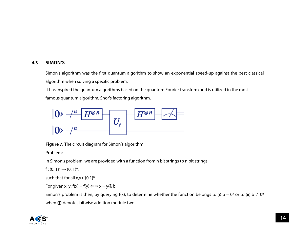#### **4.3 SIMON'S**

Simon's algorithm was the first quantum algorithm to show an exponential speed-up against the best classical algorithm when solving a specific problem.

It has inspired the quantum algorithms based on the quantum Fourier transform and is utilized in the most famous quantum algorithm, Shor's factoring algorithm.



**Figure 7.** The circuit diagram for Simon's algorithm

Problem:

In Simon's problem, we are provided with a function from n bit strings to n bit strings,

$$
f:\{0,\,1\}^n\longrightarrow\{0,\,1\}^n,
$$

such that for all x,y  $\in$ {0,1}<sup>n</sup>.

For given x, y:  $f(x) = f(y) \Longleftrightarrow x = y \bigoplus b$ .

Simon's problem is then, by querying f(x), to determine whether the function belongs to (i)  $b = 0$ <sup>n</sup> or to (ii)  $b \neq 0$ <sup>n</sup> when ⊕ denotes bitwise addition module two.

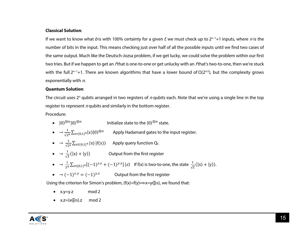#### **Classical Solution**:

If we want to know what b is with 100% certainty for a given f, we must check up to 2<sup>n−1</sup>+1 inputs, where n is the number of bits in the input. This means checking just over half of all the possible inputs until we find two cases of the same output. Much like the Deutsch-Jozsa problem, if we get lucky, we could solve the problem within our first two tries. But if we happen to get an *f* that is one-to-one or get unlucky with an *f* that's two-to-one, then we're stuck with the full 2<sup>n-1</sup>+1. There are known algorithms that have a lower bound of Ω(2<sup>n/2</sup>), but the complexity grows exponentially with  $n$ .

#### **Quantum Solution**:

The circuit uses  $2^n$  qubits arranged in two registers of n qubits each. Note that we're using a single line in the top register to represent  $n$  qubits and similarly in the bottom register.

Procedure:

- $|0\rangle^{\otimes n}|0\rangle^{\otimes n}$  Initialize state to the  $|0\rangle^{\otimes n}$  state.
- $\bullet \quad \rightarrow \frac{1}{\sqrt{2^n}} \sum_{x \in \{0,1\}^n} |x\rangle |0\rangle^{\otimes n}$  Apply Hadamard gates to the input register.
- $\bullet \quad \rightarrow \frac{1}{\sqrt{2^n}} \sum_{x \in \{0,1\}^n} |x\rangle |f(x)\rangle$  Apply query function Q<sub>f</sub>.
- $\rightarrow \frac{1}{\sqrt{2}}(|x\rangle + |y\rangle)$  Output from the first register
- →  $\frac{1}{2^n} \sum_{z \in \{0,1\}^n} [(-1)^{x} + (-1)^{y} z] |z\rangle$  If f(x) is two-to-one, the state  $\frac{1}{\sqrt{2}} (|x\rangle + |y\rangle)$ .
- $\rightarrow$   $(-1)^{x,y} = (-1)^{y,z}$  Output from the first register

Using the criterion for Simon's problem,  $(f(x)=f(y))\implies x=y\oplus s$ ), we found that:

- $x.y=y.z$  mod 2
- $x.z=(x\bigoplus s).z \mod 2$

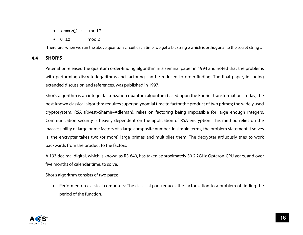- $x.z=x.Z\oplus S.Z$  mod 2
- $\bullet$  0=s.z mod 2

Therefore, when we run the above quantum circuit each time, we get a bit string zwhich is orthogonal to the secret string s.

#### **4.4 SHOR'S**

Peter Shor released the quantum order-finding algorithm in a seminal paper in 1994 and noted that the problems with performing discrete logarithms and factoring can be reduced to order-finding. The final paper, including extended discussion and references, was published in 1997.

Shor's algorithm is an integer factorization quantum algorithm based upon the Fourier transformation. Today, the best-known classical algorithm requires super polynomial time to factor the product of two primes; the widely used cryptosystem, RSA (Rivest–Shamir–Adleman), relies on factoring being impossible for large enough integers. Communication security is heavily dependent on the application of RSA encryption. This method relies on the inaccessibility of large prime factors of a large composite number. In simple terms, the problem statement it solves is: the encrypter takes two (or more) large primes and multiplies them. The decrypter arduously tries to work backwards from the product to the factors.

A 193 decimal digital, which is known as RS-640, has taken approximately 30 2.2GHz-Opteron-CPU years, and over five months of calendar time, to solve.

Shor's algorithm consists of two parts:

• Performed on classical computers: The classical part reduces the factorization to a problem of finding the period of the function.

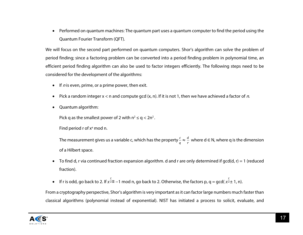• Performed on quantum machines: The quantum part uses a quantum computer to find the period using the Quantum Fourier Transform (QFT).

We will focus on the second part performed on quantum computers. Shor's algorithm can solve the problem of period finding; since a factoring problem can be converted into a period finding problem in polynomial time, an efficient period finding algorithm can also be used to factor integers efficiently. The following steps need to be considered for the development of the algorithms:

- If *n* is even, prime, or a prime power, then exit.
- Pick a random integer  $x < n$  and compute gcd  $(x, n)$ . If it is not 1, then we have achieved a factor of n.
- Quantum algorithm:

Pick q as the smallest power of 2 with  $n^2 \le q < 2n^2$ .

Find period  $r$  of  $x^a$  mod n.

The measurement gives us a variable c, which has the property  $\frac{c}{q} \approx \frac{d}{r}$  where d ∈ N, where q is the dimension of a Hilbert space.

- To find d, r via continued fraction expansion algorithm. d and r are only determined if gcd(d, r) = 1 (reduced fraction).
- If r is odd, go back to 2. If  $x^{\frac{r}{2}}= -1$  mod n, go back to 2. Otherwise, the factors p, q = gcd(  $x^{\frac{r}{2}}=1$ , n).

From a cryptography perspective, Shor's algorithm is very important as it can factor large numbers much faster than classical algorithms (polynomial instead of exponential). NIST has initiated a process to solicit, evaluate, and

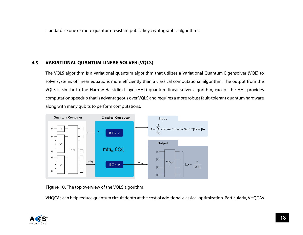standardize one or more quantum-resistant public-key cryptographic algorithms.

#### **4.5 VARIATIONAL QUANTUM LINEAR SOLVER (VQLS)**

The VQLS algorithm is a variational quantum algorithm that utilizes a Variational Quantum Eigensolver (VQE) to solve systems of linear equations more efficiently than a classical computational algorithm. The output from the VQLS is similar to the Harrow-Hassidim-Lloyd (HHL) quantum linear-solver algorithm, except the HHL provides computation speedup that is advantageous over VQLS and requires a more robust fault-tolerant quantum hardware along with many qubits to perform computations.



**Figure 10.** The top overview of the VQLS algorithm

VHQCAs can help reduce quantum circuit depth at the cost of additional classical optimization. Particularly, VHQCAs

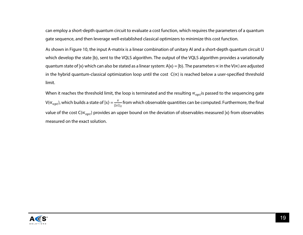can employ a short-depth quantum circuit to evaluate a cost function, which requires the parameters of a quantum gate sequence, and then leverage well-established classical optimizers to minimize this cost function.

As shown in Figure 10, the input A-matrix is a linear combination of unitary Al and a short-depth quantum circuit U which develop the state  $|b\rangle$ , sent to the VQLS algorithm. The output of the VQLS algorithm provides a variationally quantum state of  $|x\rangle$  which can also be stated as a linear system: A $|x\rangle = |b\rangle$ . The parameters  $\propto$  in the V( $\propto$ ) are adjusted in the hybrid quantum-classical optimization loop until the cost C(∝) is reached below a user-specified threshold limit.

When it reaches the threshold limit, the loop is terminated and the resulting  $\alpha_{opt}$  is passed to the sequencing gate  $V(\propto_{opt})$ , which builds a state of  $|x\rangle = \frac{x}{||x||_2}$ from which observable quantities can be computed. Furthermore, the final value of the cost C( $\propto_{opt}$ ) provides an upper bound on the deviation of observables measured |x) from observables measured on the exact solution.

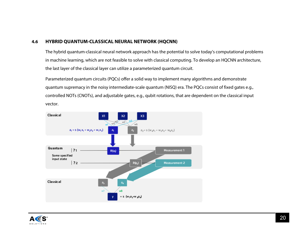#### **4.6 HYBRID QUANTUM-CLASSICAL NEURAL NETWORK (HQCNN)**

The hybrid quantum-classical neural network approach has the potential to solve today's computational problems in machine learning, which are not feasible to solve with classical computing. To develop an HQCNN architecture, the last layer of the classical layer can utilize a parameterized quantum circuit.

Parameterized quantum circuits (PQCs) offer a solid way to implement many algorithms and demonstrate quantum supremacy in the noisy intermediate-scale quantum (NISQ) era. The PQCs consist of fixed gates e.g., controlled NOTs (CNOTs), and adjustable gates, e.g., qubit rotations, that are dependent on the classical input vector.



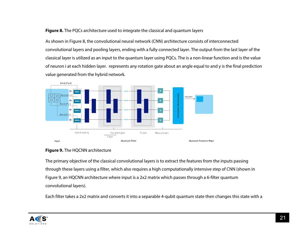#### **Figure 8.** The PQCs architecture used to integrate the classical and quantum layers

As shown in Figure 8, the convolutional neural network (CNN) architecture consists of interconnected convolutional layers and pooling layers, ending with a fully connected layer. The output from the last layer of the classical layer is utilized as an input to the quantum layer using PQCs. The is a non-linear function and is the value of neuron i at each hidden layer. represents any rotation gate about an angle equal to and y is the final prediction value generated from the hybrid network.



#### **Figure 9.** The HQCNN architecture

The primary objective of the classical convolutional layers is to extract the features from the inputs passing through these layers using a filter, which also requires a high computationally intensive step of CNN (shown in Figure 9, an HQCNN architecture where input is a 2x2 matrix which passes through a 6-filter quantum convolutional layers).

Each filter takes a 2x2 matrix and converts it into a separable 4-qubit quantum state then changes this state with a

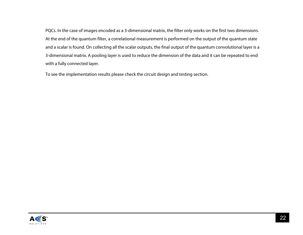PQCs. In the case of images encoded as a 3-dimensional matrix, the filter only works on the first two dimensions. At the end of the quantum filter, a correlational measurement is performed on the output of the quantum state and a scalar is found. On collecting all the scalar outputs, the final output of the quantum convolutional layer is a 3-dimensional matrix. A pooling layer is used to reduce the dimension of the data and it can be repeated to end with a fully connected layer.

To see the implementation results please check the circuit design and testing section.

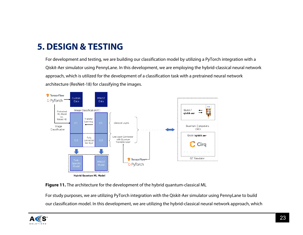### **5. DESIGN & TESTING**

For development and testing, we are building our classification model by utilizing a PyTorch integration with a Qiskit-Aer simulator using PennyLane. In this development, we are employing the hybrid-classical neural network approach, which is utilized for the development of a classification task with a pretrained neural network architecture (ResNet-18) for classifying the images.





For study purposes, we are utilizing PyTorch integration with the Qiskit-Aer simulator using PennyLane to build our classification model. In this development, we are utilizing the hybrid-classical neural network approach, which

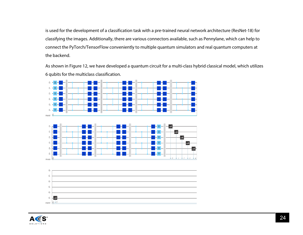is used for the development of a classification task with a pre-trained neural network architecture (ResNet-18) for classifying the images. Additionally, there are various connectors available, such as Pennylane, which can help to connect the PyTorch/TensorFlow conveniently to multiple quantum simulators and real quantum computers at the backend.

As shown in Figure 12, we have developed a quantum circuit for a multi-class hybrid classical model, which utilizes 6 qubits for the multiclass classification.



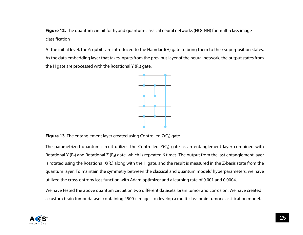**Figure 12.** The quantum circuit for hybrid quantum-classical neural networks (HQCNN) for multi-class image classification

At the initial level, the 6-qubits are introduced to the Hamdard(H) gate to bring them to their superposition states. As the data embedding layer that takes inputs from the previous layer of the neural network, the output states from the H gate are processed with the Rotational Y  $(R_y)$  gate.



**Figure 13.** The entanglement layer created using Controlled  $Z(C_2)$  gate

The parametrized quantum circuit utilizes the Controlled  $Z(C_2)$  gate as an entanglement layer combined with Rotational Y ( $R_y$ ) and Rotational Z ( $R_z$ ) gate, which is repeated 6 times. The output from the last entanglement layer is rotated using the Rotational  $X(R_x)$  along with the H gate, and the result is measured in the Z-basis state from the quantum layer. To maintain the symmetry between the classical and quantum models' hyperparameters, we have utilized the cross-entropy loss function with Adam optimizer and a learning rate of 0.001 and 0.0004.

We have tested the above quantum circuit on two different datasets: brain tumor and corrosion. We have created a custom brain tumor dataset containing 4500+ images to develop a multi-class brain tumor classification model.

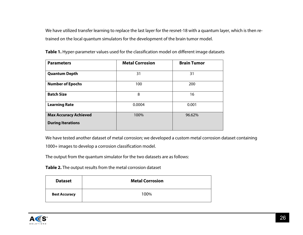We have utilized transfer learning to replace the last layer for the resnet-18 with a quantum layer, which is then retrained on the local quantum simulators for the development of the brain tumor model.

| <b>Parameters</b>            | <b>Metal Corrosion</b> | <b>Brain Tumor</b> |
|------------------------------|------------------------|--------------------|
| <b>Quantum Depth</b>         | 31                     | 31                 |
| <b>Number of Epochs</b>      | 100                    | 200                |
| <b>Batch Size</b>            | 8                      | 16                 |
| <b>Learning Rate</b>         | 0.0004                 | 0.001              |
| <b>Max Accuracy Achieved</b> | 100%                   | 96.62%             |
| <b>During Iterations</b>     |                        |                    |

**Table 1.** Hyper-parameter values used for the classification model on different image datasets

We have tested another dataset of metal corrosion; we developed a custom metal corrosion dataset containing

1000+ images to develop a corrosion classification model.

The output from the quantum simulator for the two datasets are as follows:

**Table 2.** The output results from the metal corrosion dataset

| <b>Dataset</b>       | <b>Metal Corrosion</b> |
|----------------------|------------------------|
| <b>Best Accuracy</b> | 100%                   |

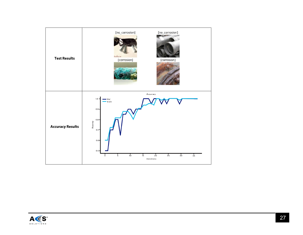

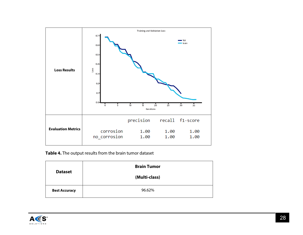

**Table 4.** The output results from the brain tumor dataset

| <b>Dataset</b>       | <b>Brain Tumor</b> |
|----------------------|--------------------|
|                      | (Multi-class)      |
| <b>Best Accuracy</b> | 96.62%             |

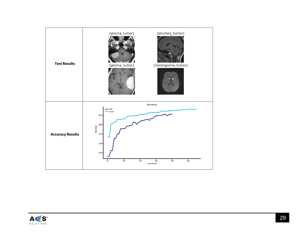

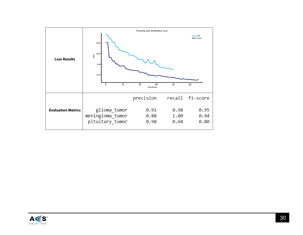

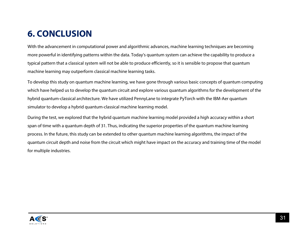# **6. CONCLUSION**

With the advancement in computational power and algorithmic advances, machine learning techniques are becoming more powerful in identifying patterns within the data. Today's quantum system can achieve the capability to produce a typical pattern that a classical system will not be able to produce efficiently, so it is sensible to propose that quantum machine learning may outperform classical machine learning tasks.

To develop this study on quantum machine learning, we have gone through various basic concepts of quantum computing which have helped us to develop the quantum circuit and explore various quantum algorithms for the development of the hybrid quantum-classical architecture. We have utilized PennyLane to integrate PyTorch with the IBM-Aer quantum simulator to develop a hybrid quantum-classical machine learning model.

During the test, we explored that the hybrid quantum machine learning model provided a high accuracy within a short span of time with a quantum depth of 31. Thus, indicating the superior properties of the quantum machine learning process. In the future, this study can be extended to other quantum machine learning algorithms, the impact of the quantum circuit depth and noise from the circuit which might have impact on the accuracy and training time of the model for multiple industries.

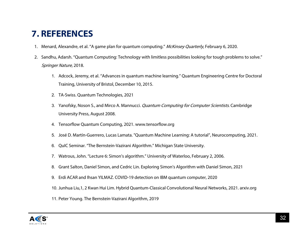### **7. REFERENCES**

- 1. Menard, Alexandre, et al. "A game plan for quantum computing." McKinsey Quarterly, February 6, 2020.
- 2. Sandhu, Adarsh. "Quantum Computing: Technology with limitless possibilities looking for tough problems to solve." Springer Nature, 2018.
	- 1. Adcock, Jeremy, et al. "Advances in quantum machine learning." Quantum Engineering Centre for Doctoral Training, University of Bristol, December 10, 2015.
	- 2. TA-Swiss. Quantum Technologies, 2021
	- 3. Yanofsky, Noson S., and Mirco A. Mannucci. *Quantum Computing for Computer Scientists*. Cambridge University Press, August 2008.
	- 4. Tensorflow Quantum Computing, 2021. www.tensorflow.org
	- 5. José D. Martín-Guerrero, Lucas Lamata. "Quantum Machine Learning: A tutorial", Neurocomputing, 2021.
	- 6. QuIC Seminar. "The Bernstein-Vazirani Algorithm." Michigan State University.
	- 7. Watrous, John. "Lecture 6: Simon's algorithm." University of Waterloo, February 2, 2006.
	- 8. Grant Salton, Daniel Simon, and Cedric Lin. Exploring Simon's Algorithm with Daniel Simon, 2021
	- 9. Erdi ACAR and Ihsan YILMAZ. COVID-19 detection on IBM quantum computer, 2020
	- 10. Junhua Liu,1, 2 Kwan Hui Lim. Hybrid Quantum-Classical Convolutional Neural Networks, 2021. arxiv.org
	- 11. Peter Young. The Bernstein-Vazirani Algorithm, 2019

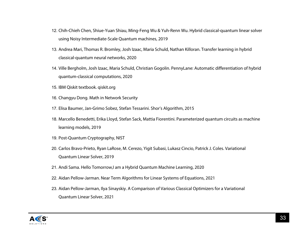- 12. Chih-Chieh Chen, Shiue-Yuan Shiau, Ming-Feng Wu & Yuh-Renn Wu. Hybrid classical-quantum linear solver using Noisy Intermediate-Scale Quantum machines, 2019
- 13. Andrea Mari, Thomas R. Bromley, Josh Izaac, Maria Schuld, Nathan Killoran. Transfer learning in hybrid classical-quantum neural networks, 2020
- 14. Ville Bergholm, Josh Izaac, Maria Schuld, Christian Gogolin. PennyLane: Automatic differentiation of hybrid quantum-classical computations, 2020
- 15. IBM Qiskit textbook. qiskit.org
- 16. Changyu Dong. Math in Network Security
- 17. Elisa Baumer, Jan-Grimo Sobez, Stefan Tessarini. Shor's Algorithm, 2015
- 18. Marcello Benedetti, Erika Lloyd, Stefan Sack, Mattia Fiorentini. Parameterized quantum circuits as machine learning models, 2019
- 19. Post-Quantum Cryptography, NIST
- 20. Carlos Bravo-Prieto, Ryan LaRose, M. Cerezo, Yigit Subasi, Lukasz Cincio, Patrick J. Coles. Variational Quantum Linear Solver, 2019
- 21. Andi Sama. Hello Tomorrow,I am a Hybrid Quantum Machine Learning, 2020
- 22. Aidan Pellow-Jarman. Near Term Algorithms for Linear Systems of Equations, 2021
- 23. Aidan Pellow-Jarman, Ilya Sinayskiy. A Comparison of Various Classical Optimizers for a Variational Quantum Linear Solver, 2021

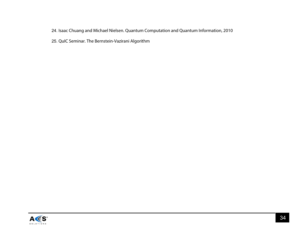#### 24. Isaac Chuang and Michael Nielsen. Quantum Computation and Quantum Information, 2010

25. QuIC Seminar. The Bernstein-Vazirani Algorithm